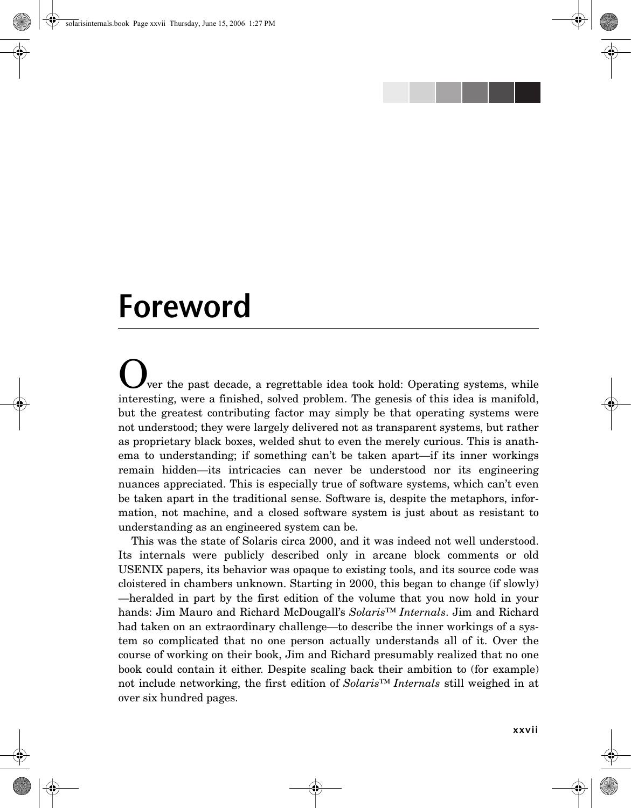

## **Foreword**

ver the past decade, a regrettable idea took hold: Operating systems, while interesting, were a finished, solved problem. The genesis of this idea is manifold, but the greatest contributing factor may simply be that operating systems were not understood; they were largely delivered not as transparent systems, but rather as proprietary black boxes, welded shut to even the merely curious. This is anathema to understanding; if something can't be taken apart—if its inner workings remain hidden—its intricacies can never be understood nor its engineering nuances appreciated. This is especially true of software systems, which can't even be taken apart in the traditional sense. Software is, despite the metaphors, information, not machine, and a closed software system is just about as resistant to understanding as an engineered system can be.

This was the state of Solaris circa 2000, and it was indeed not well understood. Its internals were publicly described only in arcane block comments or old USENIX papers, its behavior was opaque to existing tools, and its source code was cloistered in chambers unknown. Starting in 2000, this began to change (if slowly) —heralded in part by the first edition of the volume that you now hold in your hands: Jim Mauro and Richard McDougall's *Solaris™ Internals*. Jim and Richard had taken on an extraordinary challenge—to describe the inner workings of a system so complicated that no one person actually understands all of it. Over the course of working on their book, Jim and Richard presumably realized that no one book could contain it either. Despite scaling back their ambition to (for example) not include networking, the first edition of *Solaris™ Internals* still weighed in at over six hundred pages.

**xxvii**